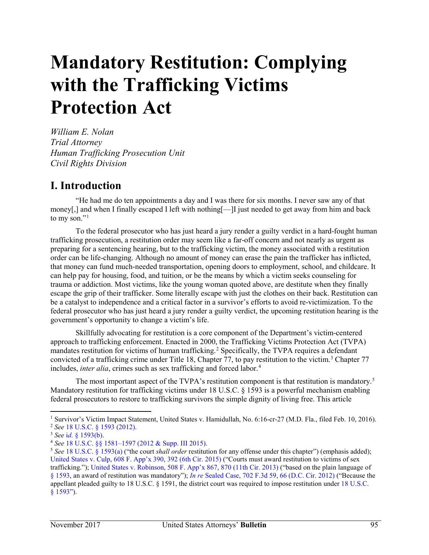# **Mandatory Restitution: Complying with the Trafficking Victims Protection Act**

*William E. Nolan Trial Attorney Human Trafficking Prosecution Unit Civil Rights Division* 

#### **I. Introduction**

"He had me do ten appointments a day and I was there for six months. I never saw any of that money[,] and when I finally escaped I left with nothing[—]I just needed to get away from him and back to my son."<sup>[1](#page-1-0)</sup>

To the federal prosecutor who has just heard a jury render a guilty verdict in a hard-fought human trafficking prosecution, a restitution order may seem like a far-off concern and not nearly as urgent as preparing for a sentencing hearing, but to the trafficking victim, the money associated with a restitution order can be life-changing. Although no amount of money can erase the pain the trafficker has inflicted, that money can fund much-needed transportation, opening doors to employment, school, and childcare. It can help pay for housing, food, and tuition, or be the means by which a victim seeks counseling for trauma or addiction. Most victims, like the young woman quoted above, are destitute when they finally escape the grip of their trafficker. Some literally escape with just the clothes on their back. Restitution can be a catalyst to independence and a critical factor in a survivor's efforts to avoid re-victimization. To the federal prosecutor who has just heard a jury render a guilty verdict, the upcoming restitution hearing is the government's opportunity to change a victim's life.

Skillfully advocating for restitution is a core component of the Department's victim-centered approach to trafficking enforcement. Enacted in 2000, the Trafficking Victims Protection Act (TVPA) mandates restitution for victims of human trafficking.<sup>[2](#page-1-1)</sup> Specifically, the TVPA requires a defendant convicted of a trafficking crime under Title 18, Chapter 77, to pay restitution to the victim.<sup>[3](#page-1-2)</sup> Chapter 77 includes, *inter alia*, crimes such as sex trafficking and forced labor.<sup>[4](#page-1-3)</sup>

The most important aspect of the TVPA's restitution component is that restitution is mandatory.<sup>[5](#page-1-4)</sup> Mandatory restitution for trafficking victims under 18 U.S.C. § 1593 is a powerful mechanism enabling federal prosecutors to restore to trafficking survivors the simple dignity of living free. This article

<sup>&</sup>lt;sup>1</sup> Survivor's Victim Impact Statement, United States v. Hamidullah, No. 6:16-cr-27 (M.D. Fla., filed Feb. 10, 2016).

<sup>&</sup>lt;sup>2</sup> See [18 U.S.C. § 1593 \(2012\).](https://1.next.westlaw.com/Document/N6D315CE0D8FD11DDA247B92C2AF16D0F/View/FullText.html?transitionType=UniqueDocItem&contextData=(sc.Default)&userEnteredCitation=18+usc+1593)<br><sup>3</sup> See id. [§ 1593\(b\).](https://1.next.westlaw.com/Document/N6D315CE0D8FD11DDA247B92C2AF16D0F/View/FullText.html?transitionType=UniqueDocItem&contextData=(sc.UserEnteredCitation)&userEnteredCitation=18+usc+1593)<br><sup>4</sup> See [18 U.S.C. §§ 1581–1597 \(2012 & Supp. III 2015\).](https://1.next.westlaw.com/Browse/Home/StatutesCourtRules/UnitedStatesCodeAnnotatedUSCA?guid=NA6BE9851693E4F2A8F22E7E2CF353CF9&transitionType=DocumentItem&contextData=(sc.Category))<br><sup>5</sup> See [18 U.S.C. § 1593\(a\)](https://1.next.westlaw.com/Document/N6D315CE0D8FD11DDA247B92C2AF16D0F/View/FullText.html?transitionType=UniqueDocItem&contextData=(sc.UserEnteredCitation)&userEnteredCitation=18+usc+1593) ("the court *shall order* restitution for any offense under this chapter") (empha [United States v. Culp, 608 F. App'x 390, 392 \(6th Cir. 2015\)](https://1.next.westlaw.com/Document/Iad367dc41a6b11e5b4bafa136b480ad2/View/FullText.html?transitionType=UniqueDocItem&contextData=(sc.UserEnteredCitation)&userEnteredCitation=608+f.+appx+390) ("Courts must award restitution to victims of sex trafficking.")[; United States v. Robinson, 508 F. App'x 867, 870 \(11th Cir. 2013\)](https://1.next.westlaw.com/Document/I29b4fb905f0811e2a531ef6793d44951/View/FullText.html?transitionType=UniqueDocItem&contextData=(sc.UserEnteredCitation)&userEnteredCitation=508+f.+appx+867) ("based on the plain language of [§ 1593,](https://1.next.westlaw.com/Document/N6D315CE0D8FD11DDA247B92C2AF16D0F/View/FullText.html?transitionType=UniqueDocItem&contextData=(sc.Default)&userEnteredCitation=18+usc+1593) an award of restitution was mandatory"); *In re* Sealed [Case, 702 F.3d 59, 66 \(D.C. Cir. 2012\)](https://1.next.westlaw.com/Document/I7c391c2d4b8411e2a531ef6793d44951/View/FullText.html?transitionType=UniqueDocItem&contextData=(sc.UserEnteredCitation)&userEnteredCitation=702+f.3d+59) ("Because the appellant pleaded guilty to 18 U.S.C. § 1591, the district court was required to impose restitution under [18 U.S.C.](https://1.next.westlaw.com/Document/N6D315CE0D8FD11DDA247B92C2AF16D0F/View/FullText.html?transitionType=UniqueDocItem&contextData=(sc.Default)&userEnteredCitation=18+usc+1593)  [§ 1593"](https://1.next.westlaw.com/Document/N6D315CE0D8FD11DDA247B92C2AF16D0F/View/FullText.html?transitionType=UniqueDocItem&contextData=(sc.Default)&userEnteredCitation=18+usc+1593)).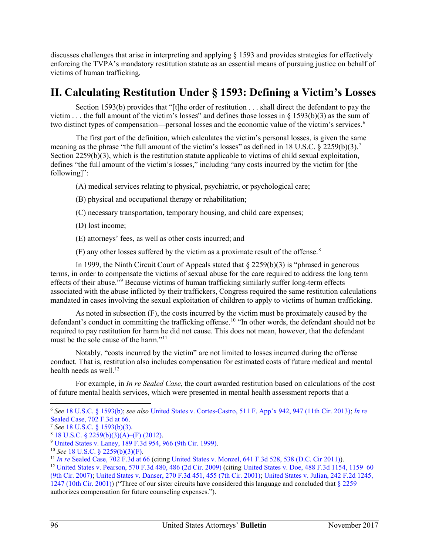discusses challenges that arise in interpreting and applying § 1593 and provides strategies for effectively enforcing the TVPA's mandatory restitution statute as an essential means of pursuing justice on behalf of victims of human trafficking.

#### **II. Calculating Restitution Under § 1593: Defining a Victim's Losses**

Section 1593(b) provides that "[t]he order of restitution . . . shall direct the defendant to pay the victim . . . the full amount of the victim's losses" and defines those losses in § 1593(b)(3) as the sum of two distinct types of compensation—personal losses and the economic value of the victim's services.<sup>[6](#page-2-0)</sup>

The first part of the definition, which calculates the victim's personal losses, is given the same meaning as the phrase "the full amount of the victim's losses" as defined in 18 U.S.C. § 2259(b)(3).<sup>[7](#page-2-1)</sup> Section 2259(b)(3), which is the restitution statute applicable to victims of child sexual exploitation, defines "the full amount of the victim's losses," including "any costs incurred by the victim for [the following]":

(A) medical services relating to physical, psychiatric, or psychological care;

- (B) physical and occupational therapy or rehabilitation;
- (C) necessary transportation, temporary housing, and child care expenses;
- (D) lost income;
- (E) attorneys' fees, as well as other costs incurred; and
- $(F)$  any other losses suffered by the victim as a proximate result of the offense.<sup>[8](#page-2-2)</sup>

In 1999, the Ninth Circuit Court of Appeals stated that  $\S 2259(b)(3)$  is "phrased in generous terms, in order to compensate the victims of sexual abuse for the care required to address the long term effects of their abuse.<sup>"[9](#page-2-3)</sup> Because victims of human trafficking similarly suffer long-term effects associated with the abuse inflicted by their traffickers, Congress required the same restitution calculations mandated in cases involving the sexual exploitation of children to apply to victims of human trafficking.

As noted in subsection (F), the costs incurred by the victim must be proximately caused by the defendant's conduct in committing the trafficking offense.<sup>10</sup> "In other words, the defendant should not be required to pay restitution for harm he did not cause. This does not mean, however, that the defendant must be the sole cause of the harm."[11](#page-2-5) 

Notably, "costs incurred by the victim" are not limited to losses incurred during the offense conduct. That is, restitution also includes compensation for estimated costs of future medical and mental health needs as well. $12$ 

For example, in *In re Sealed Case*, the court awarded restitution based on calculations of the cost of future mental health services, which were presented in mental health assessment reports that a

<span id="page-1-0"></span><sup>6</sup> *See* [18 U.S.C. § 1593\(b\);](https://1.next.westlaw.com/Document/N6D315CE0D8FD11DDA247B92C2AF16D0F/View/FullText.html?transitionType=UniqueDocItem&contextData=(sc.Default)&userEnteredCitation=18+usc+1593) *see also* [United States v. Cortes-Castro, 511 F. App'x 942, 947 \(11th Cir. 2013\);](https://1.next.westlaw.com/Document/Ic5d44c15873411e28a21ccb9036b2470/View/FullText.html?transitionType=UniqueDocItem&contextData=(sc.UserEnteredCitation)&userEnteredCitation=511+Fed+appx+942) *[In re](https://1.next.westlaw.com/Document/I7c391c2d4b8411e2a531ef6793d44951/View/FullText.html?navigationPath=Search%2Fv3%2Fsearch%2Fresults%2Fnavigation%2Fi0ad740360000015ea61cc122643c6a1b%3FNav%3DCASE%26fragmentIdentifier%3DI7c391c2d4b8411e2a531ef6793d44951%26contextData%3D%2528sc.Search%2529%26transitionType%3DSearchItem&listSource=Search&listPageSource=aab32655cd2ebad5fcf108a3a92ea82a&list=CASE&rank=0&sessionScopeId=f8758858c3e47ed59d0c3d618a018d6e3bba0078de43ded32f179505964ef688&originationContext=Smart%20Answer&transitionType=SearchItem&contextData=%28sc.Search%29)*  Sealed Case, 702 F.3d at 66.<br>
<sup>7</sup> See [18 U.S.C. § 1593\(b\)\(3\).](https://1.next.westlaw.com/Document/N6D315CE0D8FD11DDA247B92C2AF16D0F/View/FullText.html?transitionType=UniqueDocItem&contextData=(sc.UserEnteredCitation)&userEnteredCitation=18+usc+1593)<br>
<sup>8</sup> [18 U.S.C. § 2259\(b\)\(3\)\(A\)–\(F\) \(2012\).](https://1.next.westlaw.com/Document/NFB68F1D0B36411D8983DF34406B5929B/View/FullText.html?transitionType=UniqueDocItem&contextData=(sc.UserEnteredCitation)&userEnteredCitation=18+usc+2259)<br>
<sup>9</sup> [United States v. Laney, 189 F.3d 954, 966 \(9th Cir. 1999\).](https://1.next.westlaw.com/Document/I4c4c809494af11d9a707f4371c9c34f0/View/FullText.html?transitionType=UniqueDocItem&contextData=(sc.Default)&userEnteredCitation=189+f.3d+954)<br>
<sup>10</sup> See 18 U.S.C. § 2259(b)(3)(F).<br>
<sup>11</sup> In re Seal

<span id="page-1-1"></span>

<span id="page-1-2"></span>

<span id="page-1-3"></span>

<span id="page-1-4"></span>

<sup>12</sup> [United States v. Pearson, 570 F.3d 480, 486 \(2d Cir. 2009\)](https://1.next.westlaw.com/Document/Ia4de06e6671211de8bf6cd8525c41437/View/FullText.html?transitionType=UniqueDocItem&contextData=(sc.UserEnteredCitation)&userEnteredCitation=570+f.3d+480) (citing [United States v. Doe, 488 F.3d 1154, 1159–60](https://1.next.westlaw.com/Document/I98e8911d0df111dcb92c924f6a2d2928/View/FullText.html?transitionType=UniqueDocItem&contextData=(sc.UserEnteredCitation)&userEnteredCitation=488+f.3d+1154)  [\(9th Cir. 2007\);](https://1.next.westlaw.com/Document/I98e8911d0df111dcb92c924f6a2d2928/View/FullText.html?transitionType=UniqueDocItem&contextData=(sc.UserEnteredCitation)&userEnteredCitation=488+f.3d+1154) [United States v. Danser, 270 F.3d 451, 455 \(7th Cir. 2001\);](https://1.next.westlaw.com/Document/Ia9529c0979c211d98c82a53fc8ac8757/View/FullText.html?transitionType=UniqueDocItem&contextData=(sc.UserEnteredCitation)&userEnteredCitation=270+F.3d+451) [United States v. Julian, 242 F.2d 1245,](https://1.next.westlaw.com/Document/Ie8298ef879a611d99c4dbb2f0352441d/View/FullText.html?navigationPath=Search%2Fv3%2Fsearch%2Fresults%2Fnavigation%2Fi0ad740140000015f917d7d4b4b6d5df0%3FNav%3DCASE%26fragmentIdentifier%3DIe8298ef879a611d99c4dbb2f0352441d%26startIndex%3D1%26contextData%3D%2528sc.Search%2529%26transitionType%3DSearchItem&listSource=Search&listPageSource=9230c468c238d8d8cec153aa1d40eb60&list=ALL&rank=1&sessionScopeId=914943585077d92caf93d7b40b69afc3d31ab305e51d59263712854da93f5f63&originationContext=Search%20Result&transitionType=SearchItem&contextData=%28sc.Search%29)  [1247 \(10th Cir. 2001\)\)](https://1.next.westlaw.com/Document/Ie8298ef879a611d99c4dbb2f0352441d/View/FullText.html?navigationPath=Search%2Fv3%2Fsearch%2Fresults%2Fnavigation%2Fi0ad740140000015f917d7d4b4b6d5df0%3FNav%3DCASE%26fragmentIdentifier%3DIe8298ef879a611d99c4dbb2f0352441d%26startIndex%3D1%26contextData%3D%2528sc.Search%2529%26transitionType%3DSearchItem&listSource=Search&listPageSource=9230c468c238d8d8cec153aa1d40eb60&list=ALL&rank=1&sessionScopeId=914943585077d92caf93d7b40b69afc3d31ab305e51d59263712854da93f5f63&originationContext=Search%20Result&transitionType=SearchItem&contextData=%28sc.Search%29) ("Three of our sister circuits have considered this language and concluded tha[t § 2259](https://1.next.westlaw.com/Document/NFB68F1D0B36411D8983DF34406B5929B/View/FullText.html?transitionType=UniqueDocItem&contextData=(sc.UserEnteredCitation)&userEnteredCitation=18+usc+2259) authorizes compensation for future counseling expenses.").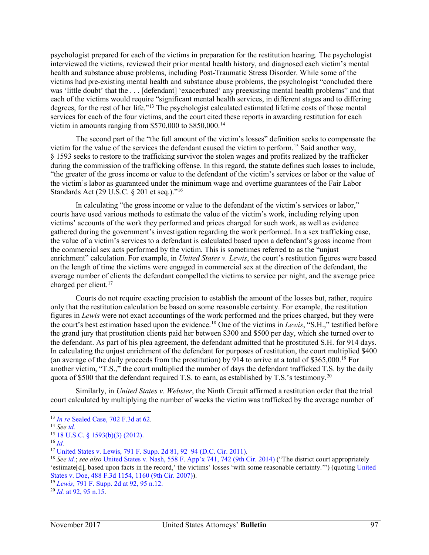psychologist prepared for each of the victims in preparation for the restitution hearing. The psychologist interviewed the victims, reviewed their prior mental health history, and diagnosed each victim's mental health and substance abuse problems, including Post-Traumatic Stress Disorder. While some of the victims had pre-existing mental health and substance abuse problems, the psychologist "concluded there was 'little doubt' that the . . . [defendant] 'exacerbated' any preexisting mental health problems" and that each of the victims would require "significant mental health services, in different stages and to differing degrees, for the rest of her life."[13](#page-3-0) The psychologist calculated estimated lifetime costs of those mental services for each of the four victims, and the court cited these reports in awarding restitution for each victim in amounts ranging from \$570,000 to \$850,000[.14](#page-3-1)

The second part of the "the full amount of the victim's losses" definition seeks to compensate the victim for the value of the services the defendant caused the victim to perform.[15](#page-3-2) Said another way, § 1593 seeks to restore to the trafficking survivor the stolen wages and profits realized by the trafficker during the commission of the trafficking offense. In this regard, the statute defines such losses to include, "the greater of the gross income or value to the defendant of the victim's services or labor or the value of the victim's labor as guaranteed under the minimum wage and overtime guarantees of the Fair Labor Standards Act (29 U.S.C. § 201 et seq.)."<sup>[16](#page-3-3)</sup>

In calculating "the gross income or value to the defendant of the victim's services or labor," courts have used various methods to estimate the value of the victim's work, including relying upon victims' accounts of the work they performed and prices charged for such work, as well as evidence gathered during the government's investigation regarding the work performed. In a sex trafficking case, the value of a victim's services to a defendant is calculated based upon a defendant's gross income from the commercial sex acts performed by the victim. This is sometimes referred to as the "unjust enrichment" calculation. For example, in *United States v. Lewis*, the court's restitution figures were based on the length of time the victims were engaged in commercial sex at the direction of the defendant, the average number of clients the defendant compelled the victims to service per night, and the average price charged per client.<sup>[17](#page-3-4)</sup>

Courts do not require exacting precision to establish the amount of the losses but, rather, require only that the restitution calculation be based on some reasonable certainty. For example, the restitution figures in *Lewis* were not exact accountings of the work performed and the prices charged, but they were the court's best estimation based upon the evidence.[18](#page-3-5) One of the victims in *Lewis*, "S.H.," testified before the grand jury that prostitution clients paid her between \$300 and \$500 per day, which she turned over to the defendant. As part of his plea agreement, the defendant admitted that he prostituted S.H. for 914 days. In calculating the unjust enrichment of the defendant for purposes of restitution, the court multiplied \$400 (an average of the daily proceeds from the prostitution) by 914 to arrive at a total of \$365,000.<sup>[19](#page-3-6)</sup> For another victim, "T.S.," the court multiplied the number of days the defendant trafficked T.S. by the daily quota of \$500 that the defendant required T.S. to earn, as established by T.S.'s testimony.<sup>20</sup>

Similarly, in *United States v. Webster*, the Ninth Circuit affirmed a restitution order that the trial court calculated by multiplying the number of weeks the victim was trafficked by the average number of

<span id="page-2-0"></span><sup>13</sup> *In re* [Sealed Case, 702 F.3d at 62.](https://1.next.westlaw.com/Document/I7c391c2d4b8411e2a531ef6793d44951/View/FullText.html?listSource=Foldering&originationContext=MyResearchHistoryRecents&transitionType=MyResearchHistoryItem&contextData=%28oc.Search%29&VR=3.0&RS=cblt1.0) 14 *See [id.](https://1.next.westlaw.com/Document/I7c391c2d4b8411e2a531ef6793d44951/View/FullText.html?transitionType=UniqueDocItem&contextData=(sc.History*oc.Search)&userEnteredCitation=702+f.3d+59)*

<span id="page-2-1"></span>

<span id="page-2-3"></span><span id="page-2-2"></span><sup>15</sup> [18 U.S.C. § 1593\(b\)\(3\) \(2012\).](https://1.next.westlaw.com/Document/N6D315CE0D8FD11DDA247B92C2AF16D0F/View/FullText.html?transitionType=UniqueDocItem&contextData=(sc.UserEnteredCitation)&userEnteredCitation=18+usc+1593)<br><sup>16</sup> *[Id.](https://1.next.westlaw.com/Document/N6D315CE0D8FD11DDA247B92C2AF16D0F/View/FullText.html?transitionType=UniqueDocItem&contextData=(sc.UserEnteredCitation)&userEnteredCitation=18+usc+1593)*<br><sup>17</sup> United States v. Lewis, 791 F. Supp. 2d 81, 92–94 (D.C. Cir. 2011).

<span id="page-2-6"></span><span id="page-2-5"></span><span id="page-2-4"></span><sup>&</sup>lt;sup>18</sup> See [id.](https://1.next.westlaw.com/Document/I73aa9fa198b111e0a8a2938374af9660/View/FullText.html?transitionType=UniqueDocItem&contextData=(sc.UserEnteredCitation)&userEnteredCitation=791+f.+supp.+2d+81); see also [United States v. Nash, 558 F. App'x 741, 742 \(9th Cir. 2014\)](https://1.next.westlaw.com/Document/I2256715fa03811e381b8b0e9e015e69e/View/FullText.html?transitionType=UniqueDocItem&contextData=(sc.UserEnteredCitation)&userEnteredCitation=558+f.+app%27x+741) ("The district court appropriately 'estimate[d], based upon facts in the record,' the victims' losses 'with some reasonable certainty.'") (quotin[g United](https://1.next.westlaw.com/Document/I98e8911d0df111dcb92c924f6a2d2928/View/FullText.html?transitionType=UniqueDocItem&contextData=(sc.UserEnteredCitation)&userEnteredCitation=488+F.+3d+1154)  [States v. Doe, 488 F.3d 1154, 1160 \(9th Cir. 2007\)\)](https://1.next.westlaw.com/Document/I98e8911d0df111dcb92c924f6a2d2928/View/FullText.html?transitionType=UniqueDocItem&contextData=(sc.UserEnteredCitation)&userEnteredCitation=488+F.+3d+1154).

<sup>19</sup> *Lewis*[, 791 F. Supp. 2d at 92, 95 n.12.](https://1.next.westlaw.com/Document/I73aa9fa198b111e0a8a2938374af9660/View/FullText.html?transitionType=UniqueDocItem&contextData=(sc.History*oc.UserEnteredCitation)&userEnteredCitation=791+f.+supp.2d+92#co_pp_sp_4637_92)

<sup>20</sup> *Id.* [at 92, 95 n.15.](https://1.next.westlaw.com/Document/I73aa9fa198b111e0a8a2938374af9660/View/FullText.html?transitionType=UniqueDocItem&contextData=(sc.History*oc.UserEnteredCitation)&userEnteredCitation=791+f.+supp.2d+92#co_pp_sp_4637_92)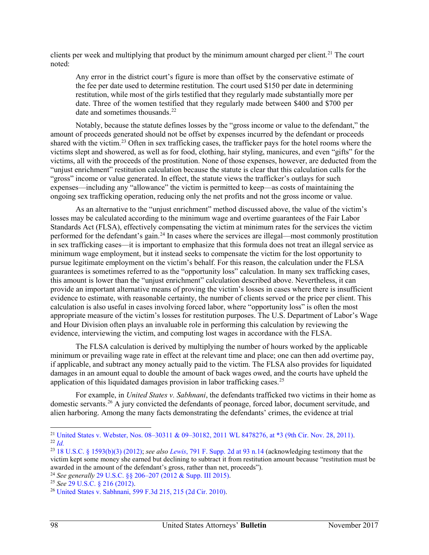clients per week and multiplying that product by the minimum amount charged per client.<sup>21</sup> The court noted:

Any error in the district court's figure is more than offset by the conservative estimate of the fee per date used to determine restitution. The court used \$150 per date in determining restitution, while most of the girls testified that they regularly made substantially more per date. Three of the women testified that they regularly made between \$400 and \$700 per date and sometimes thousands.<sup>[22](#page-4-1)</sup>

Notably, because the statute defines losses by the "gross income or value to the defendant," the amount of proceeds generated should not be offset by expenses incurred by the defendant or proceeds shared with the victim.[23](#page-4-2) Often in sex trafficking cases, the trafficker pays for the hotel rooms where the victims slept and showered, as well as for food, clothing, hair styling, manicures, and even "gifts" for the victims, all with the proceeds of the prostitution. None of those expenses, however, are deducted from the "unjust enrichment" restitution calculation because the statute is clear that this calculation calls for the "gross" income or value generated. In effect, the statute views the trafficker's outlays for such expenses—including any "allowance" the victim is permitted to keep—as costs of maintaining the ongoing sex trafficking operation, reducing only the net profits and not the gross income or value.

As an alternative to the "unjust enrichment" method discussed above, the value of the victim's losses may be calculated according to the minimum wage and overtime guarantees of the Fair Labor Standards Act (FLSA), effectively compensating the victim at minimum rates for the services the victim performed for the defendant's gain.[24](#page-4-3) In cases where the services are illegal—most commonly prostitution in sex trafficking cases—it is important to emphasize that this formula does not treat an illegal service as minimum wage employment, but it instead seeks to compensate the victim for the lost opportunity to pursue legitimate employment on the victim's behalf. For this reason, the calculation under the FLSA guarantees is sometimes referred to as the "opportunity loss" calculation. In many sex trafficking cases, this amount is lower than the "unjust enrichment" calculation described above. Nevertheless, it can provide an important alternative means of proving the victim's losses in cases where there is insufficient evidence to estimate, with reasonable certainty, the number of clients served or the price per client. This calculation is also useful in cases involving forced labor, where "opportunity loss" is often the most appropriate measure of the victim's losses for restitution purposes. The U.S. Department of Labor's Wage and Hour Division often plays an invaluable role in performing this calculation by reviewing the evidence, interviewing the victim, and computing lost wages in accordance with the FLSA.

The FLSA calculation is derived by multiplying the number of hours worked by the applicable minimum or prevailing wage rate in effect at the relevant time and place; one can then add overtime pay, if applicable, and subtract any money actually paid to the victim. The FLSA also provides for liquidated damages in an amount equal to double the amount of back wages owed, and the courts have upheld the application of this liquidated damages provision in labor trafficking cases.<sup>[25](#page-4-4)</sup>

For example, in *United States v. Sabhnani*, the defendants trafficked two victims in their home as domestic servants.<sup>26</sup> A jury convicted the defendants of peonage, forced labor, document servitude, and alien harboring. Among the many facts demonstrating the defendants' crimes, the evidence at trial

<span id="page-3-3"></span><span id="page-3-2"></span><span id="page-3-1"></span><span id="page-3-0"></span><sup>&</sup>lt;sup>21</sup> [United States v. Webster, Nos. 08–30311 & 09–30182, 2011 WL 8478276, at \\*3 \(9th Cir. Nov. 28, 2011\).](https://1.next.westlaw.com/Document/I57fef408dca011e1b343c837631e1747/View/FullText.html?navigationPath=Search%2Fv3%2Fsearch%2Fresults%2Fnavigation%2Fi0ad740370000015eaa8466a174b430bc%3FNav%3DCASE%26fragmentIdentifier%3DI57fef408dca011e1b343c837631e1747%26startIndex%3D1%26contextData%3D%2528sc.Search%2529%26transitionType%3DSearchItem&listSource=Search&listPageSource=91742b8846efc76ee6c3d1abf17a65fa&list=ALL&rank=1&sessionScopeId=662e68c485a862e0334a0e51917381a1ec1a97a7fa7f745227ca0d0c6a1bcfee&originationContext=Search%20Result&transitionType=SearchItem&contextData=%28sc.Search%29)<br><sup>22</sup>*Id.* 23 [18 U.S.C. § 1593\(b\)\(3\) \(2012\);](https://1.next.westlaw.com/Document/N6D315CE0D8FD11DDA247B92C2AF16D0F/View/FullText.html?transitionType=UniqueDocItem&contextData=(sc.Search)&userEnteredCitation=18+usc+1593) *see also Lewis*[, 791 F. Supp. 2d at 93 n.14](https://1.next.westlaw.com/Document/I73aa9fa198b111e0a8a2938374af9660/View/FullText.html?transitionType=UniqueDocItem&contextData=(sc.History*oc.UserEnteredCitation)&userEnteredCitation=791+f.+supp.+2d+93#co_pp_sp_4637_93) (acknowledging testimony

<span id="page-3-5"></span><span id="page-3-4"></span>victim kept some money she earned but declining to subtract it from restitution amount because "restitution must be awarded in the amount of the defendant's gross, rather than net, proceeds").<br><sup>24</sup> See generally 29 U.S.C. §§ 206-207 (2012 & Supp. III 2015).

<span id="page-3-7"></span><span id="page-3-6"></span><sup>&</sup>lt;sup>25</sup> *See* [29 U.S.C. § 216 \(2012\).](https://1.next.westlaw.com/Document/NA7B34500290211DDB90ED5FF89347555/View/FullText.html?transitionType=UniqueDocItem&contextData=(sc.Document)&userEnteredCitation=29+usc+216)<br><sup>26</sup> [United States v. Sabhnani, 599 F.3d 215, 215 \(2d Cir. 2010\).](https://1.next.westlaw.com/Document/I1c48503038c811dfa7ada84b8dc24cbf/View/FullText.html?transitionType=UniqueDocItem&contextData=(sc.UserEnteredCitation)&userEnteredCitation=599+f.3d+215)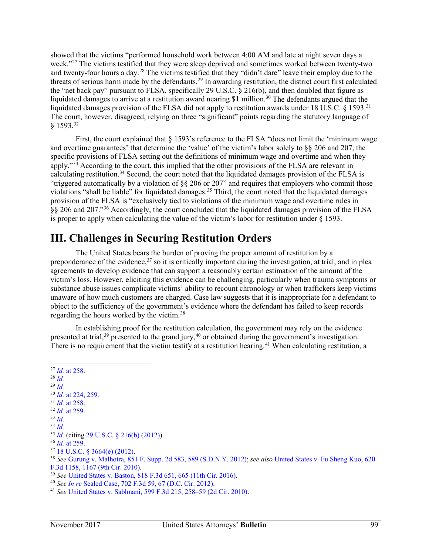showed that the victims "performed household work between 4:00 AM and late at night seven days a week."<sup>[27](#page-5-0)</sup> The victims testified that they were sleep deprived and sometimes worked between twenty-two and twenty-four hours a day.<sup>[28](#page-5-1)</sup> The victims testified that they "didn't dare" leave their employ due to the threats of serious harm made by the defendants.[29](#page-5-2) In awarding restitution, the district court first calculated the "net back pay" pursuant to FLSA, specifically 29 U.S.C. § 216(b), and then doubled that figure as liquidated damages to arrive at a restitution award nearing \$1 million.<sup>[30](#page-5-3)</sup> The defendants argued that the liquidated damages provision of the FLSA did not apply to restitution awards under 18 U.S.C. § 1593.<sup>[31](#page-5-4)</sup> The court, however, disagreed, relying on three "significant" points regarding the statutory language of § 1593[.32](#page-5-5)

First, the court explained that  $\S 1593$ 's reference to the FLSA "does not limit the 'minimum wage and overtime guarantees' that determine the 'value' of the victim's labor solely to §§ 206 and 207, the specific provisions of FLSA setting out the definitions of minimum wage and overtime and when they apply."<sup>[33](#page-5-6)</sup> According to the court, this implied that the other provisions of the FLSA are relevant in calculating restitution.[34](#page-5-7) Second, the court noted that the liquidated damages provision of the FLSA is "triggered automatically by a violation of §§ 206 or 207" and requires that employers who commit those violations "shall be liable" for liquidated damages.<sup>[35](#page-5-8)</sup> Third, the court noted that the liquidated damages provision of the FLSA is "exclusively tied to violations of the minimum wage and overtime rules in §§ 206 and 207."[36](#page-5-9) Accordingly, the court concluded that the liquidated damages provision of the FLSA is proper to apply when calculating the value of the victim's labor for restitution under § 1593.

## **III. Challenges in Securing Restitution Orders**

The United States bears the burden of proving the proper amount of restitution by a preponderance of the evidence,<sup>[37](#page-5-10)</sup> so it is critically important during the investigation, at trial, and in plea agreements to develop evidence that can support a reasonably certain estimation of the amount of the victim's loss. However, eliciting this evidence can be challenging, particularly when trauma symptoms or substance abuse issues complicate victims' ability to recount chronology or when traffickers keep victims unaware of how much customers are charged. Case law suggests that it is inappropriate for a defendant to object to the sufficiency of the government's evidence where the defendant has failed to keep records regarding the hours worked by the victim.[38](#page-5-11)

In establishing proof for the restitution calculation, the government may rely on the evidence presented at trial,<sup>39</sup> presented to the grand jury,<sup>40</sup> or obtained during the government's investigation. There is no requirement that the victim testify at a restitution hearing.<sup>41</sup> When calculating restitution, a

 *Id.* [at 258.](https://1.next.westlaw.com/Document/I1c48503038c811dfa7ada84b8dc24cbf/View/FullText.html?transitionType=UniqueDocItem&contextData=(sc.UserEnteredCitation)&userEnteredCitation=599+f.3d+215) 28 *[Id.](https://1.next.westlaw.com/Document/I1c48503038c811dfa7ada84b8dc24cbf/View/FullText.html?transitionType=UniqueDocItem&contextData=(sc.UserEnteredCitation)&userEnteredCitation=599+f.3d+215) Id.*30 *Id.* [at 224, 259.](https://1.next.westlaw.com/Document/I1c48503038c811dfa7ada84b8dc24cbf/View/FullText.html?transitionType=UniqueDocItem&contextData=(sc.UserEnteredCitation)&userEnteredCitation=599+f.3d+215) 31 *Id.* [at 258.](https://1.next.westlaw.com/Document/I1c48503038c811dfa7ada84b8dc24cbf/View/FullText.html?transitionType=UniqueDocItem&contextData=(sc.UserEnteredCitation)&userEnteredCitation=599+f.3d+215) 32 *Id.* [at 259.](https://1.next.westlaw.com/Document/I1c48503038c811dfa7ada84b8dc24cbf/View/FullText.html?transitionType=UniqueDocItem&contextData=(sc.UserEnteredCitation)&userEnteredCitation=599+f.3d+215) 33 *Id. Id.*35 *Id.* (citing [29 U.S.C. § 216\(b\) \(2012\)\)](https://1.next.westlaw.com/Document/NA7B34500290211DDB90ED5FF89347555/View/FullText.html?transitionType=UniqueDocItem&contextData=(sc.UserEnteredCitation)&userEnteredCitation=29+USC+216). *Id.* [at 259.](https://1.next.westlaw.com/Document/I1c48503038c811dfa7ada84b8dc24cbf/View/FullText.html?transitionType=UniqueDocItem&contextData=(sc.UserEnteredCitation)&userEnteredCitation=599+f.3d+215) 37 [18 U.S.C. § 3664\(e\) \(2012\).](https://1.next.westlaw.com/Document/NF9A0DC00B36411D8983DF34406B5929B/View/FullText.html?transitionType=UniqueDocItem&contextData=(sc.UserEnteredCitation)&userEnteredCitation=18+usc+3664) 38 *See* [Gurung v. Malhotra, 851 F. Supp. 2d 583, 589 \(S.D.N.Y. 2012\);](https://1.next.westlaw.com/Document/Ic7c0dc96770611e18b1ac573b20fcfb7/View/FullText.html?transitionType=UniqueDocItem&contextData=(sc.UserEnteredCitation)&userEnteredCitation=851+f.+supp+2d+583) *see also* [United States v. Fu Sheng Kuo, 620](https://1.next.westlaw.com/Document/I8424caf8b43e11dfb5fdfcf739be147c/View/FullText.html?transitionType=UniqueDocItem&contextData=(sc.UserEnteredCitation)&userEnteredCitation=620+f.3d+1158)  <sup>39</sup> See [United States v. Baston, 818 F.3d 651, 665 \(11th Cir. 2016\).](https://1.next.westlaw.com/Document/I5f81036ff20011e5b86bd602cb8781fa/View/FullText.html?transitionType=UniqueDocItem&contextData=(sc.UserEnteredCitation)&userEnteredCitation=818+f.+3d+651)<br><sup>40</sup> See *In re* Sealed Case, 702 F.3d 59, 67 [\(D.C. Cir. 2012\).](https://1.next.westlaw.com/Document/I7c391c2d4b8411e2a531ef6793d44951/View/FullText.html?transitionType=UniqueDocItem&contextData=(sc.UserEnteredCitation)&userEnteredCitation=702+f.3d+67#co_pp_sp_506_67)<br><sup>41</sup> See [United States v. Sabhnani, 599 F.3d 215,](https://1.next.westlaw.com/Document/I1c48503038c811dfa7ada84b8dc24cbf/View/FullText.html?transitionType=UniqueDocItem&contextData=(sc.UserEnteredCitation)&userEnteredCitation=599+f.+3d+258#co_pp_sp_506_258) 258–59 (2d Cir. 2010).

<span id="page-4-5"></span><span id="page-4-4"></span><span id="page-4-3"></span><span id="page-4-2"></span><span id="page-4-1"></span><span id="page-4-0"></span>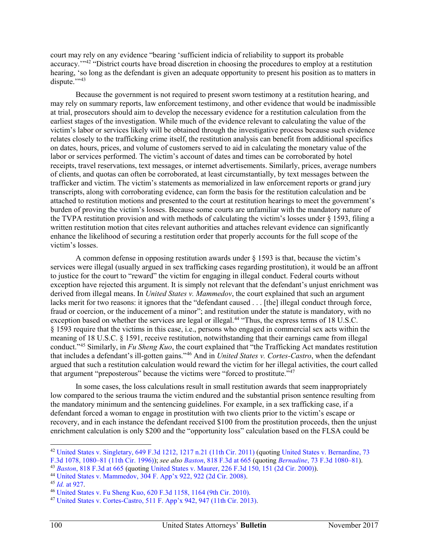court may rely on any evidence "bearing 'sufficient indicia of reliability to support its probable accuracy.'"[42](#page-6-0) "District courts have broad discretion in choosing the procedures to employ at a restitution hearing, 'so long as the defendant is given an adequate opportunity to present his position as to matters in dispute."<sup>43</sup>

Because the government is not required to present sworn testimony at a restitution hearing, and may rely on summary reports, law enforcement testimony, and other evidence that would be inadmissible at trial, prosecutors should aim to develop the necessary evidence for a restitution calculation from the earliest stages of the investigation. While much of the evidence relevant to calculating the value of the victim's labor or services likely will be obtained through the investigative process because such evidence relates closely to the trafficking crime itself, the restitution analysis can benefit from additional specifics on dates, hours, prices, and volume of customers served to aid in calculating the monetary value of the labor or services performed. The victim's account of dates and times can be corroborated by hotel receipts, travel reservations, text messages, or internet advertisements. Similarly, prices, average numbers of clients, and quotas can often be corroborated, at least circumstantially, by text messages between the trafficker and victim. The victim's statements as memorialized in law enforcement reports or grand jury transcripts, along with corroborating evidence, can form the basis for the restitution calculation and be attached to restitution motions and presented to the court at restitution hearings to meet the government's burden of proving the victim's losses. Because some courts are unfamiliar with the mandatory nature of the TVPA restitution provision and with methods of calculating the victim's losses under § 1593, filing a written restitution motion that cites relevant authorities and attaches relevant evidence can significantly enhance the likelihood of securing a restitution order that properly accounts for the full scope of the victim's losses.

A common defense in opposing restitution awards under § 1593 is that, because the victim's services were illegal (usually argued in sex trafficking cases regarding prostitution), it would be an affront to justice for the court to "reward" the victim for engaging in illegal conduct. Federal courts without exception have rejected this argument. It is simply not relevant that the defendant's unjust enrichment was derived from illegal means. In *United States v. Mammedov*, the court explained that such an argument lacks merit for two reasons: it ignores that the "defendant caused . . . [the] illegal conduct through force, fraud or coercion, or the inducement of a minor"; and restitution under the statute is mandatory, with no exception based on whether the services are legal or illegal.<sup>44</sup> "Thus, the express terms of 18 U.S.C. § 1593 require that the victims in this case, i.e., persons who engaged in commercial sex acts within the meaning of 18 U.S.C. § 1591, receive restitution, notwithstanding that their earnings came from illegal conduct."[45](#page-6-3) Similarly, in *Fu Sheng Kuo*, the court explained that "the Trafficking Act mandates restitution that includes a defendant's ill-gotten gains."[46](#page-6-4) And in *United States v. Cortes-Castro*, when the defendant argued that such a restitution calculation would reward the victim for her illegal activities, the court called that argument "preposterous" because the victims were "forced to prostitute."<sup>47</sup>

<span id="page-5-5"></span><span id="page-5-4"></span><span id="page-5-3"></span><span id="page-5-2"></span><span id="page-5-1"></span><span id="page-5-0"></span>In some cases, the loss calculations result in small restitution awards that seem inappropriately low compared to the serious trauma the victim endured and the substantial prison sentence resulting from the mandatory minimum and the sentencing guidelines. For example, in a sex trafficking case, if a defendant forced a woman to engage in prostitution with two clients prior to the victim's escape or recovery, and in each instance the defendant received \$100 from the prostitution proceeds, then the unjust enrichment calculation is only \$200 and the "opportunity loss" calculation based on the FLSA could be

<span id="page-5-9"></span><span id="page-5-8"></span><span id="page-5-7"></span><span id="page-5-6"></span> $\overline{a}$ <sup>42</sup> [United States v. Singletary, 649 F.3d 1212, 1217 n.21 \(11th Cir. 2011\)](https://1.next.westlaw.com/Document/I414ea123c7f211e08bbeb4ca0e5b8ed9/View/FullText.html?transitionType=UniqueDocItem&contextData=(sc.Default)&userEnteredCitation=649+f.3d+1212) (quoting United States v. Bernardine, 73

<span id="page-5-11"></span><span id="page-5-10"></span>[F.3d 1078, 1080–81 \(11th Cir. 1996\)\)](https://1.next.westlaw.com/Document/Iae792c7891e711d9bdd1cfdd544ca3a4/View/FullText.html?transitionType=UniqueDocItem&contextData=(sc.UserEnteredCitation)&userEnteredCitation=73+f.3d+1078); *see also Baston*[, 818 F.3d at 665](https://1.next.westlaw.com/Document/I5f81036ff20011e5b86bd602cb8781fa/View/FullText.html?transitionType=UniqueDocItem&contextData=(sc.UserEnteredCitation)&userEnteredCitation=818+f.3d+665#co_pp_sp_506_665) (quoting *Bernadine*[, 73 F.3d 1080–81\)](https://1.next.westlaw.com/Document/Iae792c7891e711d9bdd1cfdd544ca3a4/View/FullText.html?transitionType=UniqueDocItem&contextData=(sc.UserEnteredCitation)&userEnteredCitation=73+f3d+1080#co_pp_sp_506_1080).

<span id="page-5-12"></span><sup>43</sup> *Baston*[, 818 F.3d at 665](https://1.next.westlaw.com/Document/I5f81036ff20011e5b86bd602cb8781fa/View/FullText.html?transitionType=UniqueDocItem&contextData=(sc.UserEnteredCitation)&userEnteredCitation=818+f.3d+665#co_pp_sp_506_665) (quoting [United States v. Maurer, 226 F.3d 150, 151 \(2d Cir. 2000\)\)](https://1.next.westlaw.com/Document/Icbdb27ac798c11d9ac1ffa9f33b6c3b0/View/FullText.html?transitionType=UniqueDocItem&contextData=(sc.UserEnteredCitation)&userEnteredCitation=226+f.3d+150).

<span id="page-5-14"></span><span id="page-5-13"></span><sup>&</sup>lt;sup>45</sup> *Id.* [at 927.](https://1.next.westlaw.com/Document/If9a61034d72311ddb77d9846f86fae5c/View/FullText.html?transitionType=UniqueDocItem&contextData=(sc.UserEnteredCitation)&userEnteredCitation=304+f.+appx+922)<br><sup>46</sup> United States v. Fu Sheng Kuo, 620 F.3d 1158, 1164 [\(9th Cir. 2010\).](https://1.next.westlaw.com/Document/I8424caf8b43e11dfb5fdfcf739be147c/View/FullText.html?transitionType=UniqueDocItem&contextData=(sc.UserEnteredCitation)&userEnteredCitation=620+f.3d+1158)<br><sup>47</sup> [United States v. Cortes-Castro, 511 F. App'x 942, 947 \(11th Cir. 2013\).](https://1.next.westlaw.com/Document/Ic5d44c15873411e28a21ccb9036b2470/View/FullText.html?transitionType=UniqueDocItem&contextData=(sc.UserEnteredCitation)&userEnteredCitation=511+f.+appx+946#co_pp_sp_6538_946)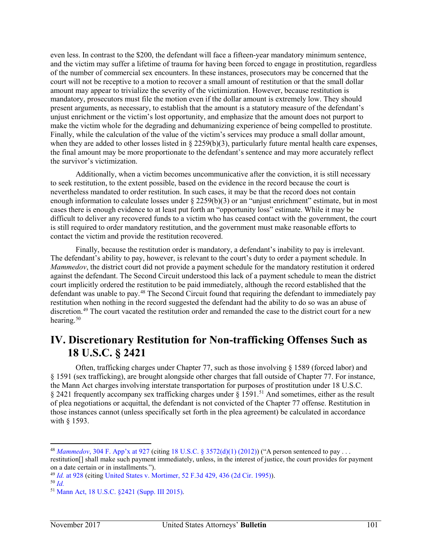even less. In contrast to the \$200, the defendant will face a fifteen-year mandatory minimum sentence, and the victim may suffer a lifetime of trauma for having been forced to engage in prostitution, regardless of the number of commercial sex encounters. In these instances, prosecutors may be concerned that the court will not be receptive to a motion to recover a small amount of restitution or that the small dollar amount may appear to trivialize the severity of the victimization. However, because restitution is mandatory, prosecutors must file the motion even if the dollar amount is extremely low. They should present arguments, as necessary, to establish that the amount is a statutory measure of the defendant's unjust enrichment or the victim's lost opportunity, and emphasize that the amount does not purport to make the victim whole for the degrading and dehumanizing experience of being compelled to prostitute. Finally, while the calculation of the value of the victim's services may produce a small dollar amount, when they are added to other losses listed in  $\S 2259(b)(3)$ , particularly future mental health care expenses, the final amount may be more proportionate to the defendant's sentence and may more accurately reflect the survivor's victimization.

Additionally, when a victim becomes uncommunicative after the conviction, it is still necessary to seek restitution, to the extent possible, based on the evidence in the record because the court is nevertheless mandated to order restitution. In such cases, it may be that the record does not contain enough information to calculate losses under § 2259(b)(3) or an "unjust enrichment" estimate, but in most cases there is enough evidence to at least put forth an "opportunity loss" estimate. While it may be difficult to deliver any recovered funds to a victim who has ceased contact with the government, the court is still required to order mandatory restitution, and the government must make reasonable efforts to contact the victim and provide the restitution recovered.

Finally, because the restitution order is mandatory, a defendant's inability to pay is irrelevant. The defendant's ability to pay, however, is relevant to the court's duty to order a payment schedule. In *Mammedov*, the district court did not provide a payment schedule for the mandatory restitution it ordered against the defendant. The Second Circuit understood this lack of a payment schedule to mean the district court implicitly ordered the restitution to be paid immediately, although the record established that the defendant was unable to pay.[48](#page-7-0) The Second Circuit found that requiring the defendant to immediately pay restitution when nothing in the record suggested the defendant had the ability to do so was an abuse of discretion.[49](#page-7-1) The court vacated the restitution order and remanded the case to the district court for a new hearing.<sup>[50](#page-7-2)</sup>

#### **IV. Discretionary Restitution for Non-trafficking Offenses Such as 18 U.S.C. § 2421**

Often, trafficking charges under Chapter 77, such as those involving  $\S$  1589 (forced labor) and § 1591 (sex trafficking), are brought alongside other charges that fall outside of Chapter 77. For instance, the Mann Act charges involving interstate transportation for purposes of prostitution under 18 U.S.C. § 2421 frequently accompany sex trafficking charges under § 1591.<sup>[51](#page-7-3)</sup> And sometimes, either as the result of plea negotiations or acquittal, the defendant is not convicted of the Chapter 77 offense. Restitution in those instances cannot (unless specifically set forth in the plea agreement) be calculated in accordance with § 1593.

<span id="page-6-0"></span><sup>48</sup> *Mammedov*[, 304 F. App'x at 927](https://1.next.westlaw.com/Document/If9a61034d72311ddb77d9846f86fae5c/View/FullText.html?transitionType=UniqueDocItem&contextData=(sc.UserEnteredCitation)&userEnteredCitation=304+f+appx+927#co_pp_sp_6538_927) (citin[g 18 U.S.C. § 3572\(d\)\(1\) \(2012\)\)](https://1.next.westlaw.com/Document/NFB2E32C0B36411D8983DF34406B5929B/View/FullText.html?transitionType=UniqueDocItem&contextData=(sc.UserEnteredCitation)&userEnteredCitation=18+usc+3572) ("A person sentenced to pay . . . restitution[] shall make such payment immediately, unless, in the interest of justice, the court provides for payment on a date certain or in installments.").

<span id="page-6-2"></span><span id="page-6-1"></span><sup>&</sup>lt;sup>49</sup> *Id.* [at 928](https://1.next.westlaw.com/Document/If9a61034d72311ddb77d9846f86fae5c/View/FullText.html?transitionType=UniqueDocItem&contextData=(sc.UserEnteredCitation)&userEnteredCitation=304+f+appx+927#co_pp_sp_6538_927) (citing [United States v. Mortimer, 52 F.3d 429, 436 \(2d Cir. 1995\)\)](https://1.next.westlaw.com/Document/I8107efd0918111d993e6d35cc61aab4a/View/FullText.html?transitionType=UniqueDocItem&contextData=(sc.UserEnteredCitation)&userEnteredCitation=52+f.+3d+429).<br><sup>50</sup> *Id* 

<span id="page-6-5"></span><span id="page-6-4"></span><span id="page-6-3"></span><sup>50</sup> *Id.*51 [Mann Act, 18 U.S.C. §2421 \(Supp. III 2015\).](https://1.next.westlaw.com/Document/NC2EB1B200EB711E58E74913866AAF871/View/FullText.html?transitionType=UniqueDocItem&contextData=(sc.UserEnteredCitation)&userEnteredCitation=18+usc+2421)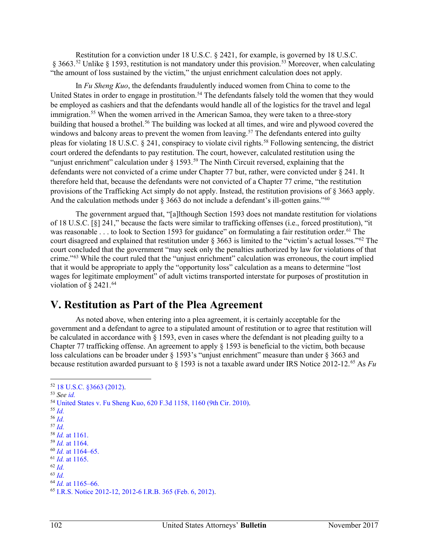Restitution for a conviction under 18 U.S.C. § 2421, for example, is governed by 18 U.S.C. § 3663.[52](#page-8-0) Unlike § 1593, restitution is not mandatory under this provision.[53](#page-8-1) Moreover, when calculating "the amount of loss sustained by the victim," the unjust enrichment calculation does not apply.

In *Fu Sheng Kuo*, the defendants fraudulently induced women from China to come to the United States in order to engage in prostitution.<sup>[54](#page-8-2)</sup> The defendants falsely told the women that they would be employed as cashiers and that the defendants would handle all of the logistics for the travel and legal immigration.<sup>[55](#page-8-3)</sup> When the women arrived in the American Samoa, they were taken to a three-story building that housed a brothel.<sup>56</sup> The building was locked at all times, and wire and plywood covered the windows and balcony areas to prevent the women from leaving.<sup>[57](#page-8-5)</sup> The defendants entered into guilty pleas for violating 18 U.S.C. § 241, conspiracy to violate civil rights.[58](#page-8-6) Following sentencing, the district court ordered the defendants to pay restitution. The court, however, calculated restitution using the "unjust enrichment" calculation under § 1[59](#page-8-7)3.<sup>59</sup> The Ninth Circuit reversed, explaining that the defendants were not convicted of a crime under Chapter 77 but, rather, were convicted under § 241. It therefore held that, because the defendants were not convicted of a Chapter 77 crime, "the restitution provisions of the Trafficking Act simply do not apply. Instead, the restitution provisions of § 3663 apply. And the calculation methods under  $\S 3663$  do not include a defendant's ill-gotten gains."<sup>[60](#page-8-8)</sup>

The government argued that, "[a]lthough Section 1593 does not mandate restitution for violations of 18 U.S.C. [§] 241," because the facts were similar to trafficking offenses (i.e., forced prostitution), "it was reasonable  $\dots$  to look to Section 1593 for guidance" on formulating a fair restitution order.<sup>61</sup> The court disagreed and explained that restitution under § 3663 is limited to the "victim's actual losses."[62](#page-8-10) The court concluded that the government "may seek only the penalties authorized by law for violations of that crime."[63](#page-8-11) While the court ruled that the "unjust enrichment" calculation was erroneous, the court implied that it would be appropriate to apply the "opportunity loss" calculation as a means to determine "lost wages for legitimate employment" of adult victims transported interstate for purposes of prostitution in violation of  $\S$  2421.<sup>[64](#page-8-12)</sup>

## **V. Restitution as Part of the Plea Agreement**

As noted above, when entering into a plea agreement, it is certainly acceptable for the government and a defendant to agree to a stipulated amount of restitution or to agree that restitution will be calculated in accordance with § 1593, even in cases where the defendant is not pleading guilty to a Chapter 77 trafficking offense. An agreement to apply § 1593 is beneficial to the victim, both because loss calculations can be broader under § 1593's "unjust enrichment" measure than under § 3663 and because restitution awarded pursuant to § 1593 is not a taxable award under IRS Notice 2012-12.[65](#page-8-13) As *Fu*

- 
- 
- 
- 
- <span id="page-7-0"></span>
- 
- 
- 
- <span id="page-7-3"></span><span id="page-7-2"></span>

 $\overline{a}$ 

<sup>&</sup>lt;sup>52</sup> [18 U.S.C. §3663 \(2012\).](https://1.next.westlaw.com/Document/N9BA32B708E7611DD9DFDB78A904C7A6D/View/FullText.html?transitionType=UniqueDocItem&contextData=(sc.UserEnteredCitation)&userEnteredCitation=18+usc+3663)<br><sup>53</sup>*See id.*<br><sup>54</sup> United States v. Fu Sheng Kuo, 620 F.3d 1158, 1160 [\(9th Cir. 2010\).](https://1.next.westlaw.com/Document/I8424caf8b43e11dfb5fdfcf739be147c/View/FullText.html?transitionType=UniqueDocItem&contextData=(sc.UserEnteredCitation)&userEnteredCitation=620+f.3d+1158)<br><sup>55</sup> *Id.*<br><sup>57</sup> *Id.*<br><sup>57</sup> *Id.*<br><sup>87</sup> *Id.* at 1161.<br><sup>99</sup> *Id.* at 1164.<br><sup>60</sup> *Id.* at 1164-65.<br><sup>61</sup> *Id.* 

<span id="page-7-1"></span><sup>63</sup>*Id.*<br>64 *Id.* at 1165–66.<br>65 [I.R.S. Notice 2012-12, 2012-6 I.R.B. 365 \(Feb. 6, 2012\).](https://1.next.westlaw.com/Document/Ib0594823436311e1aa95d4e04082c730/View/FullText.html?transitionType=UniqueDocItem&contextData=(sc.Search)&userEnteredCitation=IRS+Notice+2012-12#co_pp_sp_4502_2012-12)